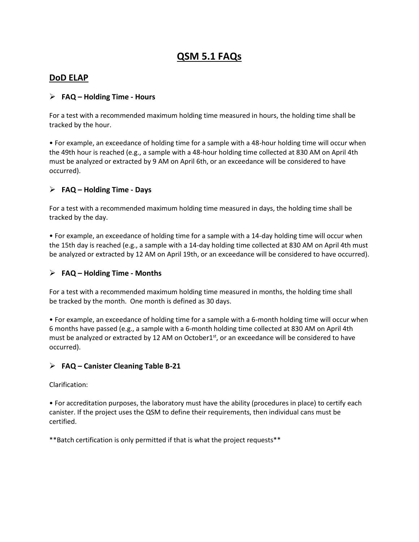# **QSM 5.1 FAQs**

## **DoD ELAP**

## **FAQ – Holding Time - Hours**

For a test with a recommended maximum holding time measured in hours, the holding time shall be tracked by the hour.

• For example, an exceedance of holding time for a sample with a 48-hour holding time will occur when the 49th hour is reached (e.g., a sample with a 48-hour holding time collected at 830 AM on April 4th must be analyzed or extracted by 9 AM on April 6th, or an exceedance will be considered to have occurred).

## **FAQ – Holding Time - Days**

For a test with a recommended maximum holding time measured in days, the holding time shall be tracked by the day.

• For example, an exceedance of holding time for a sample with a 14-day holding time will occur when the 15th day is reached (e.g., a sample with a 14-day holding time collected at 830 AM on April 4th must be analyzed or extracted by 12 AM on April 19th, or an exceedance will be considered to have occurred).

## **FAQ – Holding Time - Months**

For a test with a recommended maximum holding time measured in months, the holding time shall be tracked by the month. One month is defined as 30 days.

• For example, an exceedance of holding time for a sample with a 6-month holding time will occur when 6 months have passed (e.g., a sample with a 6-month holding time collected at 830 AM on April 4th must be analyzed or extracted by 12 AM on October1<sup>st</sup>, or an exceedance will be considered to have occurred).

## **FAQ – Canister Cleaning Table B-21**

Clarification:

• For accreditation purposes, the laboratory must have the ability (procedures in place) to certify each canister. If the project uses the QSM to define their requirements, then individual cans must be certified.

\*\*Batch certification is only permitted if that is what the project requests\*\*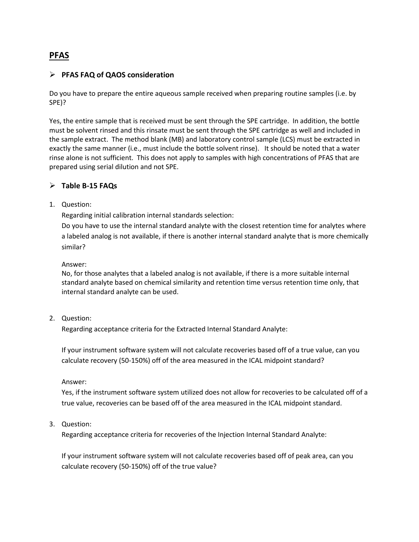## **PFAS**

## **PFAS FAQ of QAOS consideration**

Do you have to prepare the entire aqueous sample received when preparing routine samples (i.e. by SPE)?

Yes, the entire sample that is received must be sent through the SPE cartridge. In addition, the bottle must be solvent rinsed and this rinsate must be sent through the SPE cartridge as well and included in the sample extract. The method blank (MB) and laboratory control sample (LCS) must be extracted in exactly the same manner (i.e., must include the bottle solvent rinse). It should be noted that a water rinse alone is not sufficient. This does not apply to samples with high concentrations of PFAS that are prepared using serial dilution and not SPE.

## **Table B-15 FAQs**

1. Question:

Regarding initial calibration internal standards selection:

Do you have to use the internal standard analyte with the closest retention time for analytes where a labeled analog is not available, if there is another internal standard analyte that is more chemically similar?

Answer:

No, for those analytes that a labeled analog is not available, if there is a more suitable internal standard analyte based on chemical similarity and retention time versus retention time only, that internal standard analyte can be used.

#### 2. Question:

Regarding acceptance criteria for the Extracted Internal Standard Analyte:

If your instrument software system will not calculate recoveries based off of a true value, can you calculate recovery (50-150%) off of the area measured in the ICAL midpoint standard?

Answer:

Yes, if the instrument software system utilized does not allow for recoveries to be calculated off of a true value, recoveries can be based off of the area measured in the ICAL midpoint standard.

3. Question:

Regarding acceptance criteria for recoveries of the Injection Internal Standard Analyte:

If your instrument software system will not calculate recoveries based off of peak area, can you calculate recovery (50-150%) off of the true value?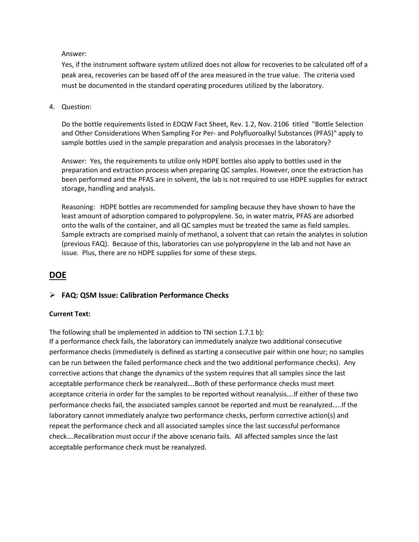#### Answer:

Yes, if the instrument software system utilized does not allow for recoveries to be calculated off of a peak area, recoveries can be based off of the area measured in the true value. The criteria used must be documented in the standard operating procedures utilized by the laboratory.

4. Question:

Do the bottle requirements listed in EDQW Fact Sheet, Rev. 1.2, Nov. 2106 titled "Bottle Selection and Other Considerations When Sampling For Per- and Polyfluoroalkyl Substances (PFAS)" apply to sample bottles used in the sample preparation and analysis processes in the laboratory?

Answer: Yes, the requirements to utilize only HDPE bottles also apply to bottles used in the preparation and extraction process when preparing QC samples. However, once the extraction has been performed and the PFAS are in solvent, the lab is not required to use HDPE supplies for extract storage, handling and analysis.

Reasoning: HDPE bottles are recommended for sampling because they have shown to have the least amount of adsorption compared to polypropylene. So, in water matrix, PFAS are adsorbed onto the walls of the container, and all QC samples must be treated the same as field samples. Sample extracts are comprised mainly of methanol, a solvent that can retain the analytes in solution (previous FAQ). Because of this, laboratories can use polypropylene in the lab and not have an issue. Plus, there are no HDPE supplies for some of these steps.

## **DOE**

## **FAQ: QSM Issue: Calibration Performance Checks**

## **Current Text:**

The following shall be implemented in addition to TNI section 1.7.1 b):

If a performance check fails, the laboratory can immediately analyze two additional consecutive performance checks (immediately is defined as starting a consecutive pair within one hour; no samples can be run between the failed performance check and the two additional performance checks). Any corrective actions that change the dynamics of the system requires that all samples since the last acceptable performance check be reanalyzed….Both of these performance checks must meet acceptance criteria in order for the samples to be reported without reanalysis….If either of these two performance checks fail, the associated samples cannot be reported and must be reanalyzed…..If the laboratory cannot immediately analyze two performance checks, perform corrective action(s) and repeat the performance check and all associated samples since the last successful performance check….Recalibration must occur if the above scenario fails. All affected samples since the last acceptable performance check must be reanalyzed.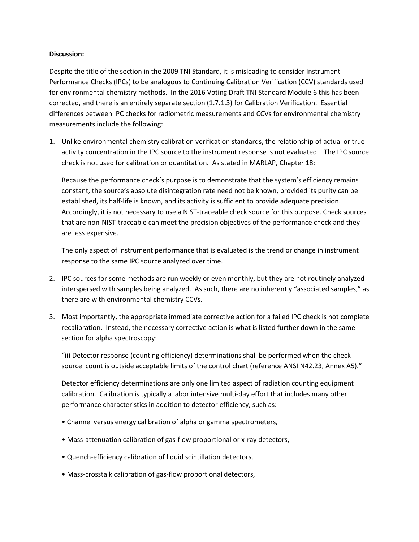#### **Discussion:**

Despite the title of the section in the 2009 TNI Standard, it is misleading to consider Instrument Performance Checks (IPCs) to be analogous to Continuing Calibration Verification (CCV) standards used for environmental chemistry methods. In the 2016 Voting Draft TNI Standard Module 6 this has been corrected, and there is an entirely separate section (1.7.1.3) for Calibration Verification. Essential differences between IPC checks for radiometric measurements and CCVs for environmental chemistry measurements include the following:

1. Unlike environmental chemistry calibration verification standards, the relationship of actual or true activity concentration in the IPC source to the instrument response is not evaluated. The IPC source check is not used for calibration or quantitation. As stated in MARLAP, Chapter 18:

Because the performance check's purpose is to demonstrate that the system's efficiency remains constant, the source's absolute disintegration rate need not be known, provided its purity can be established, its half-life is known, and its activity is sufficient to provide adequate precision. Accordingly, it is not necessary to use a NIST-traceable check source for this purpose. Check sources that are non-NIST-traceable can meet the precision objectives of the performance check and they are less expensive.

The only aspect of instrument performance that is evaluated is the trend or change in instrument response to the same IPC source analyzed over time.

- 2. IPC sources for some methods are run weekly or even monthly, but they are not routinely analyzed interspersed with samples being analyzed. As such, there are no inherently "associated samples," as there are with environmental chemistry CCVs.
- 3. Most importantly, the appropriate immediate corrective action for a failed IPC check is not complete recalibration. Instead, the necessary corrective action is what is listed further down in the same section for alpha spectroscopy:

"ii) Detector response (counting efficiency) determinations shall be performed when the check source count is outside acceptable limits of the control chart (reference ANSI N42.23, Annex A5)."

Detector efficiency determinations are only one limited aspect of radiation counting equipment calibration. Calibration is typically a labor intensive multi-day effort that includes many other performance characteristics in addition to detector efficiency, such as:

- Channel versus energy calibration of alpha or gamma spectrometers,
- Mass-attenuation calibration of gas-flow proportional or x-ray detectors,
- Quench-efficiency calibration of liquid scintillation detectors,
- Mass-crosstalk calibration of gas-flow proportional detectors,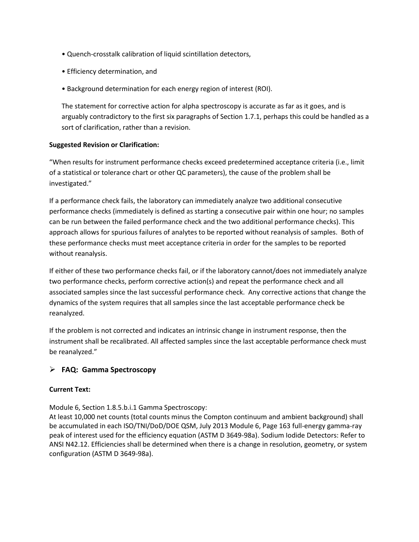- Quench-crosstalk calibration of liquid scintillation detectors,
- Efficiency determination, and
- Background determination for each energy region of interest (ROI).

The statement for corrective action for alpha spectroscopy is accurate as far as it goes, and is arguably contradictory to the first six paragraphs of Section 1.7.1, perhaps this could be handled as a sort of clarification, rather than a revision.

## **Suggested Revision or Clarification:**

"When results for instrument performance checks exceed predetermined acceptance criteria (i.e., limit of a statistical or tolerance chart or other QC parameters), the cause of the problem shall be investigated."

If a performance check fails, the laboratory can immediately analyze two additional consecutive performance checks (immediately is defined as starting a consecutive pair within one hour; no samples can be run between the failed performance check and the two additional performance checks). This approach allows for spurious failures of analytes to be reported without reanalysis of samples. Both of these performance checks must meet acceptance criteria in order for the samples to be reported without reanalysis.

If either of these two performance checks fail, or if the laboratory cannot/does not immediately analyze two performance checks, perform corrective action(s) and repeat the performance check and all associated samples since the last successful performance check. Any corrective actions that change the dynamics of the system requires that all samples since the last acceptable performance check be reanalyzed.

If the problem is not corrected and indicates an intrinsic change in instrument response, then the instrument shall be recalibrated. All affected samples since the last acceptable performance check must be reanalyzed."

## **FAQ: Gamma Spectroscopy**

#### **Current Text:**

Module 6, Section 1.8.5.b.i.1 Gamma Spectroscopy:

At least 10,000 net counts (total counts minus the Compton continuum and ambient background) shall be accumulated in each ISO/TNI/DoD/DOE QSM, July 2013 Module 6, Page 163 full-energy gamma-ray peak of interest used for the efficiency equation (ASTM D 3649-98a). Sodium Iodide Detectors: Refer to ANSI N42.12. Efficiencies shall be determined when there is a change in resolution, geometry, or system configuration (ASTM D 3649-98a).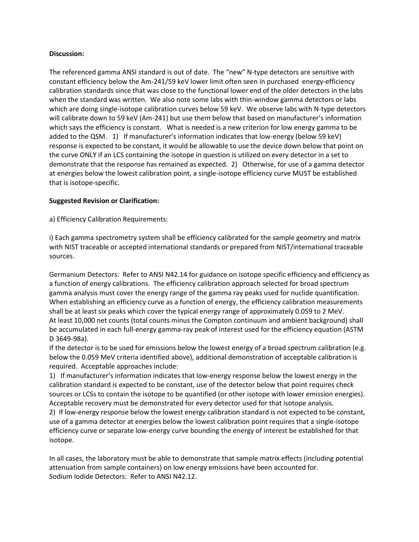#### **Discussion:**

The referenced gamma ANSI standard is out of date. The "new" N-type detectors are sensitive with constant efficiency below the Am-241/59 keV lower limit often seen in purchased energy-efficiency calibration standards since that was close to the functional lower end of the older detectors in the labs when the standard was written. We also note some labs with thin-window gamma detectors or labs which are doing single-isotope calibration curves below 59 keV. We observe labs with N-type detectors will calibrate down to 59 keV (Am-241) but use them below that based on manufacturer's information which says the efficiency is constant. What is needed is a new criterion for low energy gamma to be added to the QSM. 1) If manufacturer's information indicates that low-energy (below 59 keV) response is expected to be constant, it would be allowable to use the device down below that point on the curve ONLY if an LCS containing the isotope in question is utilized on every detector in a set to demonstrate that the response has remained as expected. 2) Otherwise, for use of a gamma detector at energies below the lowest calibration point, a single-isotope efficiency curve MUST be established that is isotope-specific.

#### **Suggested Revision or Clarification:**

a) Efficiency Calibration Requirements:

i) Each gamma spectrometry system shall be efficiency calibrated for the sample geometry and matrix with NIST traceable or accepted international standards or prepared from NIST/international traceable sources.

Germanium Detectors: Refer to ANSI N42.14 for guidance on isotope specific efficiency and efficiency as a function of energy calibrations. The efficiency calibration approach selected for broad spectrum gamma analysis must cover the energy range of the gamma ray peaks used for nuclide quantification. When establishing an efficiency curve as a function of energy, the efficiency calibration measurements shall be at least six peaks which cover the typical energy range of approximately 0.059 to 2 MeV. At least 10,000 net counts (total counts minus the Compton continuum and ambient background) shall be accumulated in each full-energy gamma-ray peak of interest used for the efficiency equation (ASTM D 3649-98a).

If the detector is to be used for emissions below the lowest energy of a broad spectrum calibration (e.g. below the 0.059 MeV criteria identified above), additional demonstration of acceptable calibration is required. Acceptable approaches include:

1) If manufacturer's information indicates that low-energy response below the lowest energy in the calibration standard is expected to be constant, use of the detector below that point requires check sources or LCSs to contain the isotope to be quantified (or other isotope with lower emission energies). Acceptable recovery must be demonstrated for every detector used for that isotope analysis.

2) If low-energy response below the lowest energy calibration standard is not expected to be constant, use of a gamma detector at energies below the lowest calibration point requires that a single-isotope efficiency curve or separate low-energy curve bounding the energy of interest be established for that isotope.

In all cases, the laboratory must be able to demonstrate that sample matrix effects (including potential attenuation from sample containers) on low energy emissions have been accounted for. Sodium Iodide Detectors: Refer to ANSI N42.12.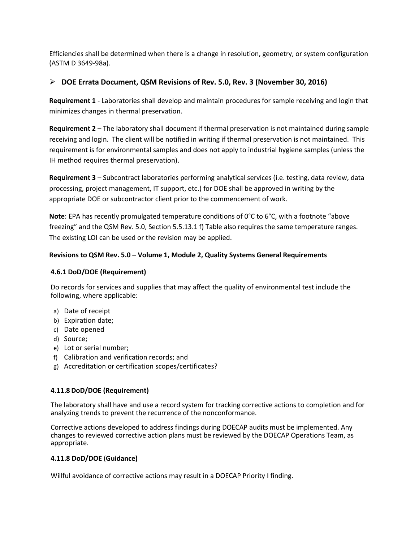Efficiencies shall be determined when there is a change in resolution, geometry, or system configuration (ASTM D 3649-98a).

## **DOE Errata Document, QSM Revisions of Rev. 5.0, Rev. 3 (November 30, 2016)**

**Requirement 1** - Laboratories shall develop and maintain procedures for sample receiving and login that minimizes changes in thermal preservation.

**Requirement 2** – The laboratory shall document if thermal preservation is not maintained during sample receiving and login. The client will be notified in writing if thermal preservation is not maintained. This requirement is for environmental samples and does not apply to industrial hygiene samples (unless the IH method requires thermal preservation).

**Requirement 3** – Subcontract laboratories performing analytical services (i.e. testing, data review, data processing, project management, IT support, etc.) for DOE shall be approved in writing by the appropriate DOE or subcontractor client prior to the commencement of work.

**Note**: EPA has recently promulgated temperature conditions of 0°C to 6°C, with a footnote "above freezing" and the QSM Rev. 5.0, Section 5.5.13.1 f) Table also requires the same temperature ranges. The existing LOI can be used or the revision may be applied.

## **Revisions to QSM Rev. 5.0 – Volume 1, Module 2, Quality Systems General Requirements**

#### **4.6.1 DoD/DOE (Requirement)**

Do records for services and supplies that may affect the quality of environmental test include the following, where applicable:

- a) Date of receipt
- b) Expiration date;
- c) Date opened
- d) Source;
- e) Lot or serial number;
- f) Calibration and verification records; and
- g) Accreditation or certification scopes/certificates?

#### **4.11.8 DoD/DOE (Requirement)**

The laboratory shall have and use a record system for tracking corrective actions to completion and for analyzing trends to prevent the recurrence of the nonconformance.

Corrective actions developed to address findings during DOECAP audits must be implemented. Any changes to reviewed corrective action plans must be reviewed by the DOECAP Operations Team, as appropriate.

#### **4.11.8 DoD/DOE** (**Guidance)**

Willful avoidance of corrective actions may result in a DOECAP Priority I finding.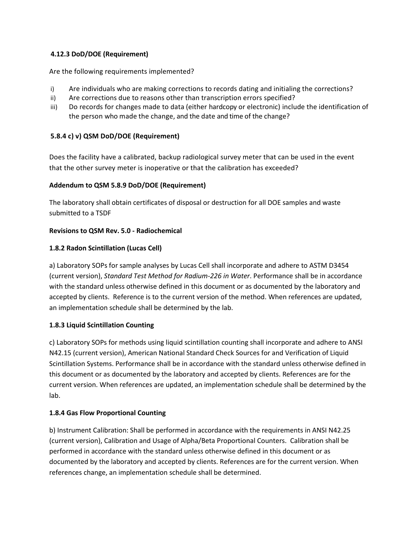## **4.12.3 DoD/DOE (Requirement)**

Are the following requirements implemented?

- i) Are individuals who are making corrections to records dating and initialing the corrections?
- ii) Are corrections due to reasons other than transcription errors specified?
- iii) Do records for changes made to data (either hardcopy or electronic) include the identification of the person who made the change, and the date and time of the change?

## **5.8.4 c) v) QSM DoD/DOE (Requirement)**

Does the facility have a calibrated, backup radiological survey meter that can be used in the event that the other survey meter is inoperative or that the calibration has exceeded?

## **Addendum to QSM 5.8.9 DoD/DOE (Requirement)**

The laboratory shall obtain certificates of disposal or destruction for all DOE samples and waste submitted to a TSDF

## **Revisions to QSM Rev. 5.0 - Radiochemical**

## **1.8.2 Radon Scintillation (Lucas Cell)**

a) Laboratory SOPs for sample analyses by Lucas Cell shall incorporate and adhere to ASTM D3454 (current version), *Standard Test Method for Radium-226 in Water*. Performance shall be in accordance with the standard unless otherwise defined in this document or as documented by the laboratory and accepted by clients. Reference is to the current version of the method. When references are updated, an implementation schedule shall be determined by the lab.

## **1.8.3 Liquid Scintillation Counting**

c) Laboratory SOPs for methods using liquid scintillation counting shall incorporate and adhere to ANSI N42.15 (current version), American National Standard Check Sources for and Verification of Liquid Scintillation Systems. Performance shall be in accordance with the standard unless otherwise defined in this document or as documented by the laboratory and accepted by clients. References are for the current version. When references are updated, an implementation schedule shall be determined by the lab.

#### **1.8.4 Gas Flow Proportional Counting**

b) Instrument Calibration: Shall be performed in accordance with the requirements in ANSI N42.25 (current version), Calibration and Usage of Alpha/Beta Proportional Counters. Calibration shall be performed in accordance with the standard unless otherwise defined in this document or as documented by the laboratory and accepted by clients. References are for the current version. When references change, an implementation schedule shall be determined.